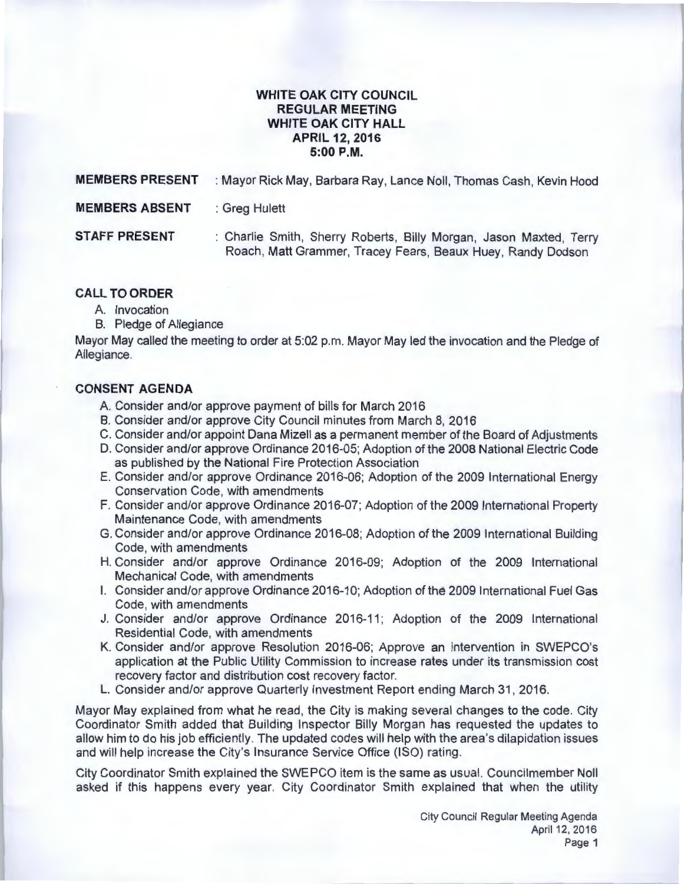## **WHITE OAK CITY COUNCIL REGULAR MEETING WHITE OAK CITY HALL APRIL 12, 2016 5:00P.M.**

| <b>MEMBERS PRESENT</b> | : Mayor Rick May, Barbara Ray, Lance Noll, Thomas Cash, Kevin Hood                                                                |
|------------------------|-----------------------------------------------------------------------------------------------------------------------------------|
| <b>MEMBERS ABSENT</b>  | : Greg Hulett                                                                                                                     |
| <b>STAFF PRESENT</b>   | : Charlie Smith, Sherry Roberts, Billy Morgan, Jason Maxted, Terry<br>Roach, Matt Grammer, Tracey Fears, Beaux Huey, Randy Dodson |

#### **CALL TO ORDER**

- A. Invocation
- B. Pledge of Allegiance

Mayor May called the meeting to order at 5:02 p.m. Mayor May led the invocation and the Pledge of Allegiance.

## **CONSENT AGENDA**

- A. Consider and/or approve payment of bills for March 2016
- B. Consider and/or approve City Council minutes from March 8, 2016
- C. Consider and/or appoint Dana Mizell as a permanent member of the Board of Adjustments
- D. Consider and/or approve Ordinance 2016-05; Adoption of the 2008 National Electric Code as published by the National Fire Protection Association
- E. Consider and/or approve Ordinance 2016-06; Adoption of the 2009 International Energy Conservation Code, with amendments
- F. Consider and/or approve Ordinance 2016-07; Adoption of the 2009 International Property Maintenance Code, with amendments
- G. Consider and/or approve Ordinance 2016-08; Adoption of the 2009 International Building Code, with amendments
- H. Consider and/or approve Ordinance 2016-09; Adoption of the 2009 International Mechanical Code, with amendments
- I. Consider and/or approve Ordinance 2016-10; Adoption of the 2009 International Fuel Gas Code, with amendments
- J. Consider and/or approve Ordinance 2016-11; Adoption of the 2009 International Residential Code, with amendments
- K. Consider and/or approve Resolution 2016-06; Approve an intervention in SWEPCO's application at the Public Utility Commission to increase rates under its transmission cost recovery factor and distribution cost recovery factor.
- L. Consider and/or approve Quarterly Investment Report ending March 31, 2016.

Mayor May explained from what he read, the City is making several changes to the code. City Coordinator Smith added that Building Inspector Billy Morgan has requested the updates to allow him to do his job efficiently. The updated codes will help with the area's dilapidation issues and will help increase the City's Insurance Service Office (ISO) rating.

City Coordinator Smith explained the SWEPCO item is the same as usual. Councilmember Noll asked if this happens every year. City Coordinator Smith explained that when the utility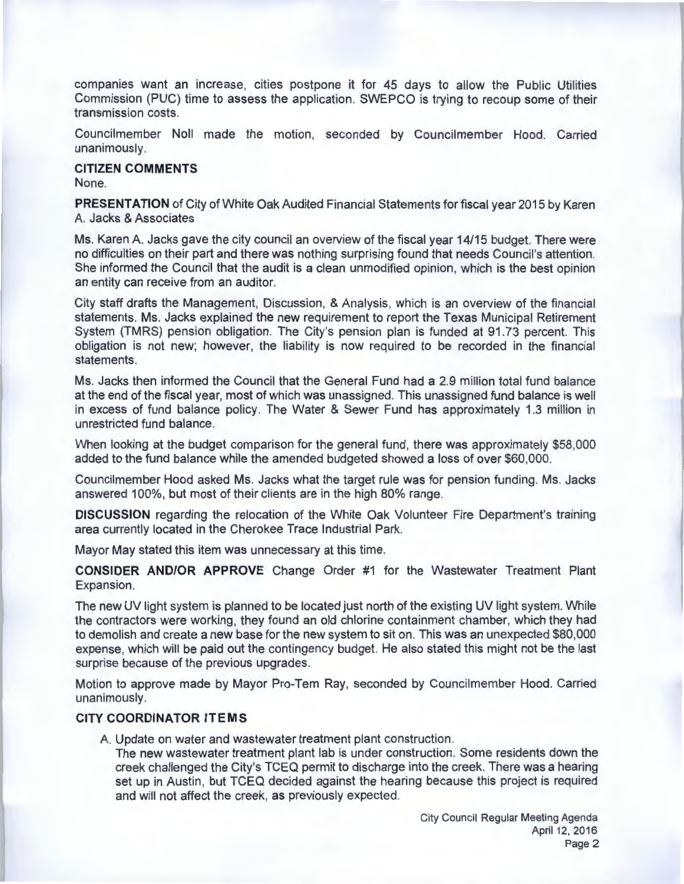companies want an increase, cities postpone it for 45 days to allow the Public Utilities Commission (PUC) time to assess the application. SWEPCO is trying to recoup some of their transmission costs.

Councilmember Noll made the motion, seconded by Councilmember Hood. Carried unanimously.

**CITIZEN COMMENTS**  None.

**PRESENTATION** of City of White Oak Audited Financial Statements for fiscal year 2015 by Karen A Jacks & Associates

Ms. Karen A. Jacks gave the city council an overview of the fiscal year 14/15 budget. There were no difficulties on their part and there was nothing surprising found that needs Council's attention. She informed the Council that the audit is a clean unmodified opinion, which is the best opinion an entity can receive from an auditor.

City staff drafts the Management, Discussion, & Analysis, which is an overview of the financial statements. Ms. Jacks explained the new requirement to report the Texas Municipal Retirement System (TMRS) pension obligation. The City's pension plan is funded at 91.73 percent. This obligation is not new; however, the liability is now required to be recorded in the financial statements.

Ms. Jacks then informed the Council that the General Fund had a 2.9 million total fund balance at the end of the fiscal year, most of which was unassigned. This unassigned fund balance is well in excess of fund balance policy. The Water & Sewer Fund has approximately 1.3 million in unrestricted fund balance.

When looking at the budget comparison for the general fund, there was approximately \$58,000 added to the fund balance while the amended budgeted showed a loss of over \$60,000.

Councilmember Hood asked Ms. Jacks what the target rule was for pension funding . Ms. Jacks answered 100%, but most of their clients are in the high 80% range.

**DISCUSSION** regarding the relocation of the White Oak Volunteer Fire Department's training area currently located in the Cherokee Trace Industrial Park.

Mayor May stated this item was unnecessary at this time.

**CONSIDER AND/OR APPROVE** Change Order #1 for the Wastewater Treatment Plant Expansion.

The new UV light system is planned to be located just north of the existing UV light system. While the contractors were working, they found an old chlorine containment chamber, which they had to demolish and create a new base for the new system to sit on. This was an unexpected \$80,000 expense, which will be paid out the contingency budget. He also stated this might not be the last surprise because of the previous upgrades.

Motion to approve made by Mayor Pro-Tem Ray, seconded by Councilmember Hood. Carried unanimously.

#### **CITY COORDINATOR ITEMS**

A. Update on water and wastewater treatment plant construction.

The new wastewater treatment plant lab is under construction. Some residents down the creek challenged the City's TCEQ permit to discharge into the creek. There was a hearing set up in Austin, but TCEQ decided against the hearing because this project is required and will not affect the creek, as previously expected.